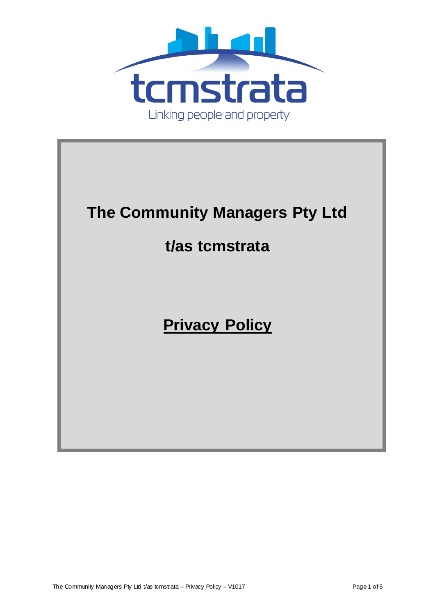

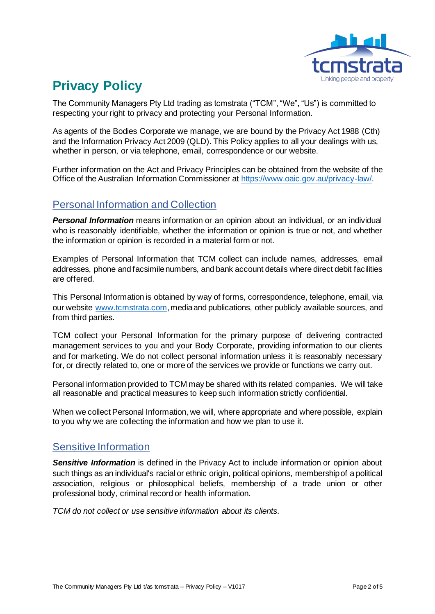

# **Privacy Policy**

The Community Managers Pty Ltd trading as tcmstrata ("TCM", "We", "Us") is committed to respecting your right to privacy and protecting your Personal Information.

As agents of the Bodies Corporate we manage, we are bound by the Privacy Act 1988 (Cth) and the Information Privacy Act 2009 (QLD). This Policy applies to all your dealings with us, whether in person, or via telephone, email, correspondence or our website.

Further information on the Act and Privacy Principles can be obtained from the website of the Office of the Australian Information Commissioner at https://www.oaic.gov.au/privacy-law/.

### Personal Information and Collection

*Personal Information* means information or an opinion about an individual, or an individual who is reasonably identifiable, whether the information or opinion is true or not, and whether the information or opinion is recorded in a material form or not.

Examples of Personal Information that TCM collect can include names, addresses, email addresses, phone and facsimile numbers, and bank account details where direct debit facilities are offered.

This Personal Information is obtained by way of forms, correspondence, telephone, email, via our website www.tcmstrata.com, media and publications, other publicly available sources, and from third parties.

TCM collect your Personal Information for the primary purpose of delivering contracted management services to you and your Body Corporate, providing information to our clients and for marketing. We do not collect personal information unless it is reasonably necessary for, or directly related to, one or more of the services we provide or functions we carry out.

Personal information provided to TCM may be shared with its related companies. We will take all reasonable and practical measures to keep such information strictly confidential.

When we collect Personal Information, we will, where appropriate and where possible, explain to you why we are collecting the information and how we plan to use it.

#### Sensitive Information

**Sensitive Information** is defined in the Privacy Act to include information or opinion about such things as an individual's racial or ethnic origin, political opinions, membership of a political association, religious or philosophical beliefs, membership of a trade union or other professional body, criminal record or health information.

*TCM do not collect or use sensitive information about its clients.*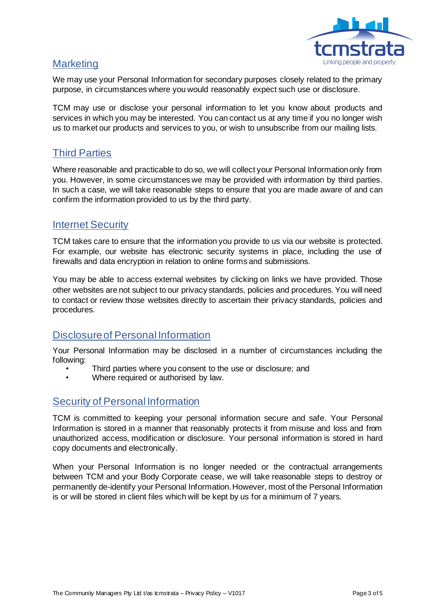

## **Marketing**

We may use your Personal Information for secondary purposes closely related to the primary purpose, in circumstances where you would reasonably expect such use or disclosure.

TCM may use or disclose your personal information to let you know about products and services in which you may be interested. You can contact us at any time if you no longer wish us to market our products and services to you, or wish to unsubscribe from our mailing lists.

# Third Parties

Where reasonable and practicable to do so, we will collect your Personal Information only from you. However, in some circumstances we may be provided with information by third parties. In such a case, we will take reasonable steps to ensure that you are made aware of and can confirm the information provided to us by the third party.

#### Internet Security

TCM takes care to ensure that the information you provide to us via our website is protected. For example, our website has electronic security systems in place, including the use of firewalls and data encryption in relation to online forms and submissions.

You may be able to access external websites by clicking on links we have provided. Those other websites are not subject to our privacy standards, policies and procedures. You will need to contact or review those websites directly to ascertain their privacy standards, policies and procedures.

## Disclosure of Personal Information

Your Personal Information may be disclosed in a number of circumstances including the following:

- Third parties where you consent to the use or disclosure; and
- Where required or authorised by law.

## Security of Personal Information

TCM is committed to keeping your personal information secure and safe. Your Personal Information is stored in a manner that reasonably protects it from misuse and loss and from unauthorized access, modification or disclosure. Your personal information is stored in hard copy documents and electronically.

When your Personal Information is no longer needed or the contractual arrangements between TCM and your Body Corporate cease, we will take reasonable steps to destroy or permanently de-identify your Personal Information. However, most of the Personal Information is or will be stored in client files which will be kept by us for a minimum of 7 years.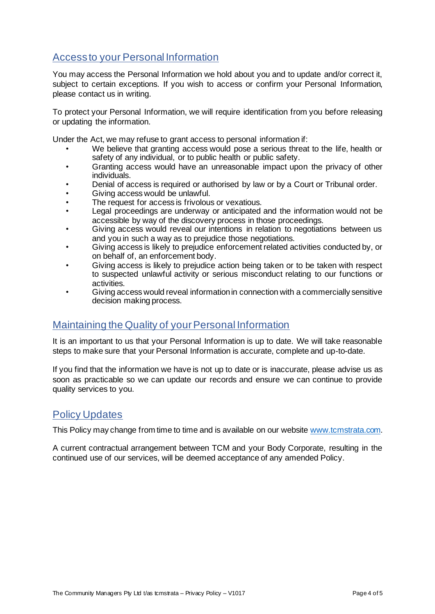# Access to your Personal Information

You may access the Personal Information we hold about you and to update and/or correct it, subject to certain exceptions. If you wish to access or confirm your Personal Information, please contact us in writing.

To protect your Personal Information, we will require identification from you before releasing or updating the information.

Under the Act, we may refuse to grant access to personal information if:

- We believe that granting access would pose a serious threat to the life, health or safety of any individual, or to public health or public safety.
- Granting access would have an unreasonable impact upon the privacy of other individuals.
- Denial of access is required or authorised by law or by a Court or Tribunal order.
- Giving access would be unlawful.
- The request for access is frivolous or vexatious.
- Legal proceedings are underway or anticipated and the information would not be accessible by way of the discovery process in those proceedings.
- Giving access would reveal our intentions in relation to negotiations between us and you in such a way as to prejudice those negotiations.
- Giving access is likely to prejudice enforcement related activities conducted by, or on behalf of, an enforcement body.
- Giving access is likely to prejudice action being taken or to be taken with respect to suspected unlawful activity or serious misconduct relating to our functions or activities.
- Giving access would reveal information in connection with a commercially sensitive decision making process.

#### Maintaining the Quality of your Personal Information

It is an important to us that your Personal Information is up to date. We will take reasonable steps to make sure that your Personal Information is accurate, complete and up-to-date.

If you find that the information we have is not up to date or is inaccurate, please advise us as soon as practicable so we can update our records and ensure we can continue to provide quality services to you.

#### Policy Updates

This Policy may change from time to time and is available on our website www.tcmstrata.com.

A current contractual arrangement between TCM and your Body Corporate, resulting in the continued use of our services, will be deemed acceptance of any amended Policy.